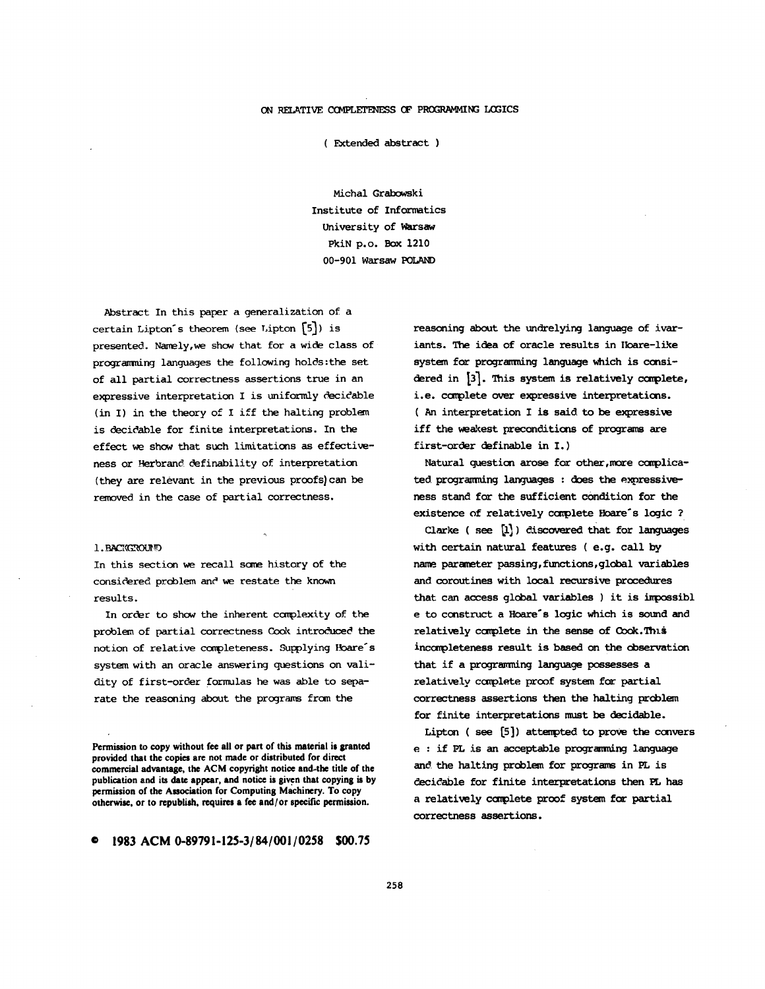## ON RELATIVE COMPLETENESS OF PROGRAMMING LOGICS

( Fxtended abstract )

Michal Grabowski Institute of Informatics University of Warsaw PkiN p.o. Box 1210 00-901 Warsaw

Abstract In this paper a generalization of a certain Lipton's theorem (see Lipton  $\lceil 5 \rceil$ ) is presented. Namely,we show that for a wide class of programming languages the following holds:the set of all partial correctness assertions true in an expressive interpretation I is uniformly decidable (in I) in the theory of I iff the halting problem is decidable for finite interpretations. In the effect we show that such limitations as effectiveness or Herbrand definability of interpretation (they are relevant in the previous proofs) can be removed in the case of partial correctness.

## 1. BACKCROLED

In this section we recall same history of the considered problem and we restate the known results.

In order to show the inherent complexity of the problem of partial correctness Cook introduced the notion of relative completeness. Supplying Hoare's system with an oracle answering questions on validity of first-order formulas he was able to separate the reasoning about the programs from the

Permission to copy without fee all or part of this material is granted **provided that the copies are not made or distributed for direct commercial advantage, the ACM copyright notice and.the title of the publication and its date appear, and notice is given that copying is by permission of the Association for Computing Machinery. To copy otherwise, or to republish, requires a fee and/or specific permission.** 

**© 1983 ACM** *0-89791-125-3/84/001/0258* **\$00.75** 

reasoning about the undrelying language of ivariants. The idea of oracle results in Ibare-like system for programming language which is considered in [3]. Tnis system is relatively complete, i.e. complete over expressive interpretations. ( An interpretation I is said to be expressive iff the weakest preconditions of programs are first-order definable in I. )

Natural question arose for other,more complicated programming languages : does the expressiveness stand for the sufficient condition for the existence of relatively complete Hoare's logic ?

Clarke ( $see [1]$ ) discovered that for languages with certain natural features ( e.g. call by name. parameter passing, functions,global variables and coroutines with local recursive procedures that can access global variables ) it is impossibl e to construct a Hoare°s logic which is sound and relatively complete in the sense of Cook. This incompleteness result is based on the observation that if a programming language possesses a relatively ccmplete proof system for partial correctness assertions then the halting problem for finite interpretations must be decidable.

Lipton ( see [5 ]) attempted to prove the convers e : if PL is an acceptable programming language and the halting problem for programs in PL is decidable for finite interpretations then PL has a relatively complete proof system for partial correctness assertions.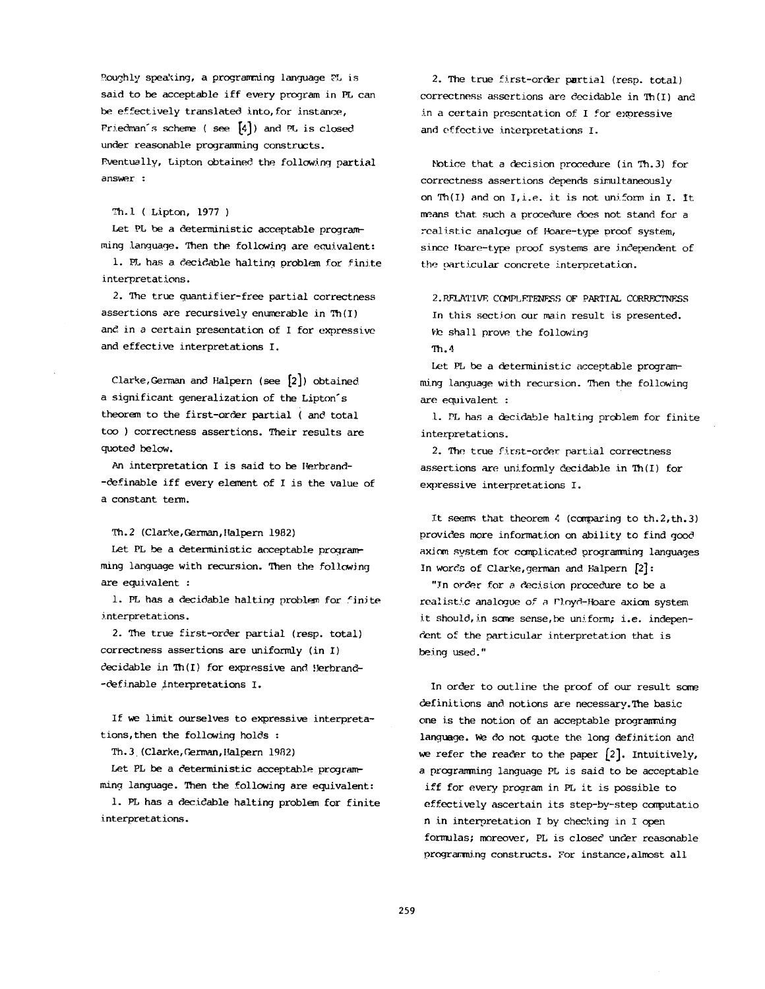Roughly speaking, a programming language EL is said to be acceptable iff every program in PL can be effectively translated into, for instance, Friedman's scheme (see  $[4]$ ) and PL is closed under reasonable programming constructs. Eventually, Lipton obtained the following partial  $\sum_{i=1}^{n}$ 

ruing language. Then the following are ecuivalent:

 $\sum_{i=1}^{n}$  is a a construction for finite for  $\Delta t$ ming language. Then the following are equivalent:

1. PL has a decidable halting problem for finite interpretations.  $\frac{1}{2}$ 

2. The true quantifier-free partial correctness assertions are recursively enumerable in  $Th(I)$ <br>and in a certain presentation of I for expressive  $\overline{a}$  care  $\overline{a}$  and  $\overline{a}$  and  $\overline{a}$  are  $\overline{a}$  obtained with  $\overline{a}$ 

 $t_{\text{start}}$  to the first-order partial (see  $\mu$ ), exception a significant generalization of the Lipton's theorem to the first-order partial ( and total too ) correctness assertions. Their results are  $d$  is the value of  $\mathcal{L}$  is the value of  $\mathcal{L}$ 

a significant generalization of the Lipton's control of the Lipton's control of the Lipton's control of the Li

An interpretation I is said to be Herbrand--definable iff every element of I is the value of Th. 2 (Clarke, C,~rman, Halpern 1982)

Th. 2 (Clarke, German, Halpern 1982)

Let PL be a deterministic acceptable programming language with recursion. Then the following are equivalent :

1. PL has a decidable halting problem for finite interpretations.  $\alpha$  is a structure of  $\alpha$ 

2. The true first-order partial (resp. total) correctness assertions are uniformly (in  $I$ )<br>decidable in Th( $I$ ) for expressive and Herbrand--definable interpretations I.

If we limit ourselves to expressive interpretations, then the following holds :

Th. 3 (Clarke, German, Halpern 1982)

Let PL be a deterministic acceptable programming language. Then the following are equivalent:

1. PL has a decidable halting problem for finite interpretations.

2. The true first-order partial (resp. total) correctness assertions are decidable in Th(I) and in a certain presentation of I for expressive and effective interpretations I.

Notice that a decision procedure (in Th.3) for correctness assertions depends simultaneously on Th $(I)$  and on I, i.e. it is not uniform in I. It means that such a procedure does not stand for a the proof system,<br>the particular concrete interpretation.<br>Since Ioare-type proof systems are interpendent of the particular concrete interpretation.

 $\sim$  shall prove that following  $\sim$   $\sim$ In this section our main result is presented. We shall prove the following  $Th.4$ 

matrix and language with recursion. Then the following with recursion  $\mathcal{L}_\text{max}$ Let PL be a deterministic acceptable programming language with recursion. Then the following are equivalent :

1. PL has a decidable halting problem for finite interpretations.  $\frac{1}{\sqrt{1-\frac{1}{\sqrt{1-\frac{1}{\sqrt{1-\frac{1}{\sqrt{1-\frac{1}{\sqrt{1-\frac{1}{\sqrt{1-\frac{1}{\sqrt{1-\frac{1}{\sqrt{1-\frac{1}{\sqrt{1-\frac{1}{\sqrt{1-\frac{1}{\sqrt{1-\frac{1}{\sqrt{1-\frac{1}{\sqrt{1-\frac{1}{\sqrt{1-\frac{1}{\sqrt{1-\frac{1}{\sqrt{1-\frac{1}{\sqrt{1-\frac{1}{\sqrt{1-\frac{1}{\sqrt{1-\frac{1}{\sqrt{1-\frac{1}{\sqrt{1-\frac{1}{\sqrt{1-\frac{1}{\sqrt{1-\frac{1}{\sqrt{1-\frac{1$ 

2. The true first-order partial correctness<br>assertions are uniformly decidable in Th $(I)$  for expressive interpretations I.

It seems that theorem  $4$  (comparing to th. 2, th. 3) provides more information on ability to find good axiom system for complicated programming languages In words of Clarke, german and Halpern [2]:

"In order for a decision procedure to be a realistic analogue of a Floyd-Hoare axiom system it should, in some sense, be uniform; i.e. independent of the particular interpretation that is In order to our result some to our result some  $\mathcal{L}$ 

In order to outline the proof of our result some definitions and notions are necessary. The basic one is the notion of an acceptable programming language. We do not quote the long definition and we refer the reader to the paper  $[2]$ . Intuitively, a programming language PL is said to be acceptable iff for every program in PL it is possible to effectively ascertain its step-by-step computatio n in interpretation I by checking in I open formulas; moreover, PL is closed under reasonable programming constructs. For instance, almost all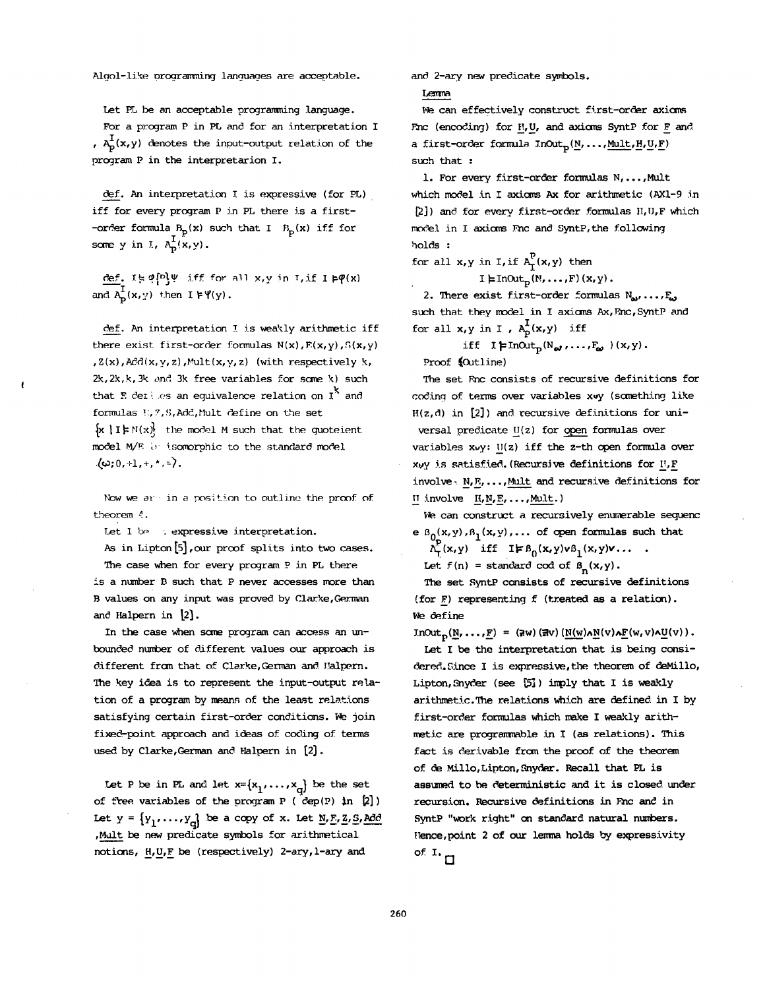Algol-like programming languages are acceptable.

Let PL be an acceptable programming language.

For a program P in PL and for an interpretation I ,  $A_D^1(x,y)$  denotes the input-output relation of the program P in the interpretarion I.

def. An interpretation I is expressive (for PL) iff for every program P in PL there is a first- -order formula  $B_p(x)$  such that I  $B_p(x)$  iff for some y in I,  $A_D^I(x,y)$ .

 $c$ ef. IE  $\varphi$ [D] $\psi$  iff for all x,y in T, if I  $\models \varphi(x)$ and  $A_p^{\text{I}}(x,y)$  then  $I \models \Psi(y)$ .

def. An interpretation I is weakly arithmetic iff there exist first-order formulas  $N(x)$ ,  $F(x,y)$ ,  $S(x,y)$  $Z(x)$ ,  $Ad(x, y, z)$ , Mult $(x, y, z)$  (with respectively k,  $2k$ ,  $2k$ ,  $k$ ,  $3k$  and  $3k$  free variables for some  $k$ ) such that E derises an equivalence relation on  $I^k$  and formulas 1.7, S, Add, Mult define on the set  ${x | I\models N(x)}$  the model M such that the quoteient model M/E  $\leftrightarrow$  isomorphic to the standard model  $\langle \omega; 0, +1, +, *, = \rangle$ .

*Now we ar in a position to outline the proof of* theorem  $4.$ 

Let  $1$  be  $\therefore$  expressive interpretation.

As in Lipton [5], our proof splits into two cases. The case when for every program P in PL there is a number B such that P never accesses more than B values on any input was proved by Clarke, German and Halpern in  $[2]$ .

In the case when some program can access an unbounded number of different values our approach is different from that of Clarke, German and Halpern. The key idea is to represent the input-output relation of a program by means of the least relations satisfying certain first-order conditions. We join fixed-point approach and ideas of coding of terms used by Clarke, German and Halpern in [2].

Let P be in PL and let  $x=[x_1,\ldots,x_d]$  be the set of free variables of the program P ( $dep(P)$  in  $[2]$ ) Let  $y = {y_1, ..., y_d}$  be a copy of x. Let N, E, Z, S, Add , Mult be new predicate symbols for arithmetical notions,  $H, U, F$  be (respectively) 2-ary, 1-ary and

and. 2-ary new predicate symbols.

Lemma

We can effectively construct first-order axioms Fnc (encoding) for  $H$ , U, and axioms SyntP for F and a first-order formula  $InOut_p(N, \ldots, \text{Mult},H,U,F)$ such that :

i. For every first-order formulas N,...,Mult which model in I axioms Ax for arithmetic (AX1-9 in  $[2]$ ) and for every first-order formulas  $H, U, F$  which moclel in I axioms Fac and SyntP,the following holds :

for all x, y in I, if  $A_f^P(x,y)$  then

 $I \models InOut_{D}(N, \ldots, F)(x, y)$ .

2. There exist first-order formulas  $N_{av}, \ldots, F_{av}$ such that they model in I axioms Ax, Fac, SyntP and for all  $x,y$  in I,  $A_p^I(x,y)$  iff

iff  $I \neq \text{InOut}_{p}(N_{\omega}, \ldots, F_{\omega})$   $(x, y)$ .

Proof (Outline)

The set Enc consists of recursive definitions for coding of terms over variables xvy (something like  $H(z, d)$  in  $[2]$ ) and recursive definitions for universal predicate  $U(z)$  for open formulas over variables xuy: U(z) iff the z-th open formula over  $x\psi y$  is satisfied. (Recursive definitions for  $H, F$  $involve \cdot N, E, \ldots$ , Mult and recursive definitions for  $II$  involve  $H, N, E, \ldots, Mult.$ )

We can construct a recursively enumerable sequenc e  $B_0(x,y)$ ,  $B_1(x,y)$ ,... of open formulas such that

 $\Lambda_{\mathsf{T}}^{\mathcal{F}}(\mathbf{x},\mathbf{y})$  iff  $\mathbf{I} \models \mathbf{B}_0(\mathbf{x},\mathbf{y})\mathbf{v}\mathbf{B}_1(\mathbf{x},\mathbf{y})\mathbf{v} \ldots$ .

Let  $f(n)$  = standard cod of  $B_n(x,y)$ .

The set SyntP consists of recursive definitions (for F) representing f (treated as a relation). We define

 $InOut_{\mathcal{D}}(\underline{N}, \ldots, \underline{F}) = (aw)(av)(\underline{N}(w)\wedge\underline{N}(v)\wedge\underline{F}(w,v)\wedge\underline{U}(v)).$ 

Let I be the interpretation that is being considered. Since I is expressive, the theorem of deMillo, Lipton, Snyder (see  $[5]$ ) imply that I is weakly arithmetic.The relations which are defined in I by first-order formulas which make I weakly arithmetic are programmable in I (as relations). This fact is derivable from the proof of the theorem of de Millo, Lipton, Snyder. Recall that PL is assumed to be deterministic and it is closed under recursion. Recursive definitions in Fac and in SyntP "work right" on standard natural numbers. Hence,point 2 of our lemma holds by expressivity of I. **[]**